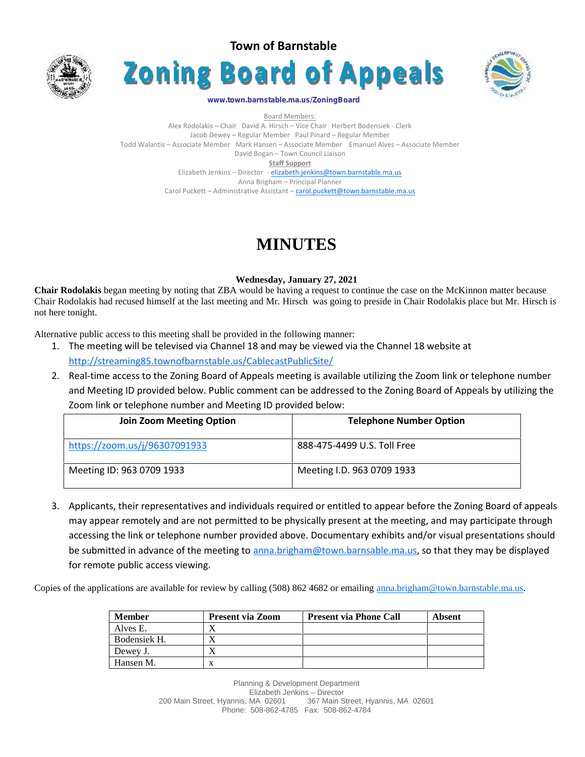





#### **www.town.barnstable.ma.us/ZoningBoard**

Board Members: Alex Rodolakis – Chair David A. Hirsch – Vice Chair Herbert Bodensiek - Clerk Jacob Dewey – Regular Member Paul Pinard – Regular Member Todd Walantis – Associate Member Mark Hansen – Associate Member Emanuel Alves – Associate Member David Bogan – Town Council Liaison **Staff Support** Elizabeth Jenkins – Director - elizabeth.jenkins@town.barnstable.ma.us Anna Brigham – Principal Planner Carol Puckett – Administrative Assistant – carol.puckett@town.barnstable.ma.us

# **MINUTES**

#### **Wednesday, January 27, 2021**

**Chair Rodolakis** began meeting by noting that ZBA would be having a request to continue the case on the McKinnon matter because Chair Rodolakis had recused himself at the last meeting and Mr. Hirsch was going to preside in Chair Rodolakis place but Mr. Hirsch is not here tonight.

Alternative public access to this meeting shall be provided in the following manner:

- 1. The meeting will be televised via Channel 18 and may be viewed via the Channel 18 website at http://streaming85.townofbarnstable.us/CablecastPublicSite/
- 2. Real-time access to the Zoning Board of Appeals meeting is available utilizing the Zoom link or telephone number and Meeting ID provided below. Public comment can be addressed to the Zoning Board of Appeals by utilizing the Zoom link or telephone number and Meeting ID provided below:

| <b>Join Zoom Meeting Option</b> | <b>Telephone Number Option</b> |
|---------------------------------|--------------------------------|
| https://zoom.us/j/96307091933   | 888-475-4499 U.S. Toll Free    |
| Meeting ID: 963 0709 1933       | Meeting I.D. 963 0709 1933     |

3. Applicants, their representatives and individuals required or entitled to appear before the Zoning Board of appeals may appear remotely and are not permitted to be physically present at the meeting, and may participate through accessing the link or telephone number provided above. Documentary exhibits and/or visual presentations should be submitted in advance of the meeting to anna.brigham@town.barnsable.ma.us, so that they may be displayed for remote public access viewing.

Copies of the applications are available for review by calling (508) 862 4682 or emailing anna.brigham@town.barnstable.ma.us.

| <b>Member</b> | <b>Present via Zoom</b> | <b>Present via Phone Call</b> | Absent |
|---------------|-------------------------|-------------------------------|--------|
| Alves E.      |                         |                               |        |
| Bodensiek H.  |                         |                               |        |
| Dewey J.      |                         |                               |        |
| Hansen M.     |                         |                               |        |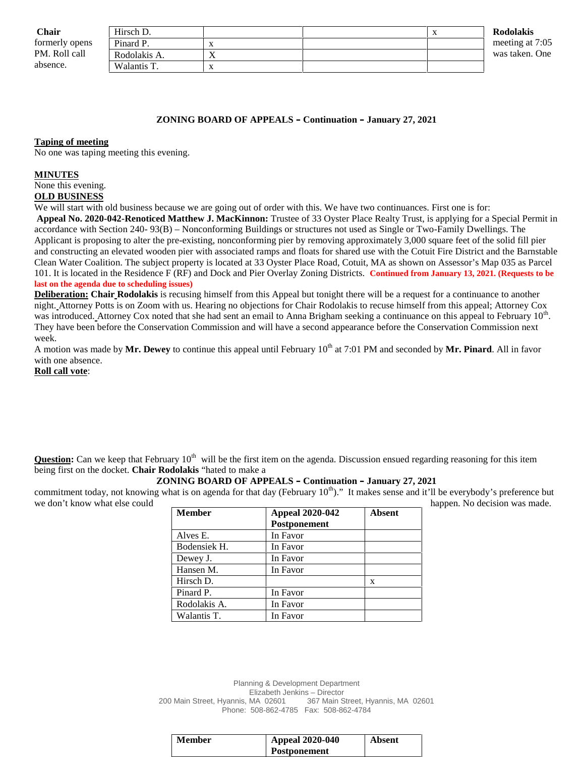| <b>Chair</b>   | Hirsch D.    |   | $\Lambda$ | <b>Rodolakis</b> |
|----------------|--------------|---|-----------|------------------|
| formerly opens | Pinard P.    |   |           | meeting at 7:05  |
| PM. Roll call  | Rodolakis A. | ∡ |           | was taken. One   |
| absence.       | Walantis T.  |   |           |                  |

#### **ZONING BOARD OF APPEALS – Continuation – January 27, 2021**

#### **Taping of meeting**

No one was taping meeting this evening.

#### **MINUTES**

### None this evening.

#### **OLD BUSINESS**

We will start with old business because we are going out of order with this. We have two continuances. First one is for: **Appeal No. 2020-042-Renoticed Matthew J. MacKinnon:** Trustee of 33 Oyster Place Realty Trust, is applying for a Special Permit in accordance with Section 240- 93(B) – Nonconforming Buildings or structures not used as Single or Two-Family Dwellings. The Applicant is proposing to alter the pre-existing, nonconforming pier by removing approximately 3,000 square feet of the solid fill pier and constructing an elevated wooden pier with associated ramps and floats for shared use with the Cotuit Fire District and the Barnstable Clean Water Coalition. The subject property is located at 33 Oyster Place Road, Cotuit, MA as shown on Assessor's Map 035 as Parcel 101. It is located in the Residence F (RF) and Dock and Pier Overlay Zoning Districts. **Continued from January 13, 2021. (Requests to be last on the agenda due to scheduling issues)**

**Deliberation: Chair Rodolakis** is recusing himself from this Appeal but tonight there will be a request for a continuance to another night. Attorney Potts is on Zoom with us. Hearing no objections for Chair Rodolakis to recuse himself from this appeal; Attorney Cox was introduced. Attorney Cox noted that she had sent an email to Anna Brigham seeking a continuance on this appeal to February  $10<sup>th</sup>$ . They have been before the Conservation Commission and will have a second appearance before the Conservation Commission next week.

A motion was made by Mr. Dewey to continue this appeal until February 10<sup>th</sup> at 7:01 PM and seconded by Mr. Pinard. All in favor with one absence.

#### **Roll call vote**:

**Question:** Can we keep that February 10<sup>th</sup> will be the first item on the agenda. Discussion ensued regarding reasoning for this item being first on the docket. **Chair Rodolakis** "hated to make a

#### **ZONING BOARD OF APPEALS – Continuation – January 27, 2021**

commitment today, not knowing what is on agenda for that day (February  $10^{th}$ )." It makes sense and it'll be everybody's preference but we don't know what else could happen. No decision was made.

| <b>Member</b> | <b>Appeal 2020-042</b> | <b>Absent</b> |
|---------------|------------------------|---------------|
|               | Postponement           |               |
| Alves E.      | In Favor               |               |
| Bodensiek H.  | In Favor               |               |
| Dewey J.      | In Favor               |               |
| Hansen M.     | In Favor               |               |
| Hirsch D.     |                        | X             |
| Pinard P.     | In Favor               |               |
| Rodolakis A.  | In Favor               |               |
| Walantis T.   | In Favor               |               |

Planning & Development Department Elizabeth Jenkins – Director 200 Main Street, Hyannis, MA 02601 367 Main Street, Hyannis, MA 02601 Phone: 508-862-4785 Fax: 508-862-4784

| <b>Member</b> | <b>Appeal 2020-040</b> | <b>Absent</b> |
|---------------|------------------------|---------------|
|               | <b>Postponement</b>    |               |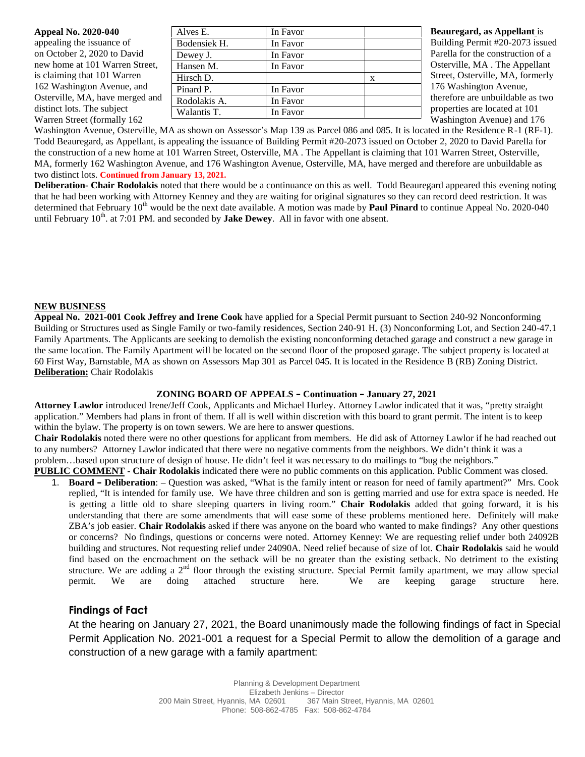| <b>Appeal No. 2020-040</b>      | Alves E.     | In Favor |   | <b>Beauregard, as Appellant is</b> |
|---------------------------------|--------------|----------|---|------------------------------------|
| appealing the issuance of       | Bodensiek H. | In Favor |   | Building Permit #20-2073 issued    |
| on October 2, 2020 to David     | Dewey J.     | In Favor |   | Parella for the construction of a  |
| new home at 101 Warren Street,  | Hansen M.    | In Favor |   | Osterville, MA. The Appellant      |
| is claiming that 101 Warren     | Hirsch D.    |          | X | Street, Osterville, MA, formerly   |
| 162 Washington Avenue, and      | Pinard P.    | In Favor |   | 176 Washington Avenue,             |
| Osterville, MA, have merged and | Rodolakis A. | In Favor |   | therefore are unbuildable as two   |
| distinct lots. The subject      | Walantis T.  | In Favor |   | properties are located at 101      |
| Warren Street (formally 162)    |              |          |   | Washington Avenue) and 176         |

Washington Avenue, Osterville, MA as shown on Assessor's Map 139 as Parcel 086 and 085. It is located in the Residence R-1 (RF-1). Todd Beauregard, as Appellant, is appealing the issuance of Building Permit #20-2073 issued on October 2, 2020 to David Parella for the construction of a new home at 101 Warren Street, Osterville, MA . The Appellant is claiming that 101 Warren Street, Osterville, MA, formerly 162 Washington Avenue, and 176 Washington Avenue, Osterville, MA, have merged and therefore are unbuildable as two distinct lots. **Continued from January 13, 2021.**

**Deliberation- Chair Rodolakis** noted that there would be a continuance on this as well. Todd Beauregard appeared this evening noting that he had been working with Attorney Kenney and they are waiting for original signatures so they can record deed restriction. It was determined that February  $10^{\text{th}}$  would be the next date available. A motion was made by **Paul Pinard** to continue Appeal No. 2020-040 until February  $10<sup>th</sup>$ . at 7:01 PM. and seconded by **Jake Dewey**. All in favor with one absent.

#### **NEW BUSINESS**

**Appeal No. 2021-001 Cook Jeffrey and Irene Cook** have applied for a Special Permit pursuant to Section 240-92 Nonconforming Building or Structures used as Single Family or two-family residences, Section 240-91 H. (3) Nonconforming Lot, and Section 240-47.1 Family Apartments. The Applicants are seeking to demolish the existing nonconforming detached garage and construct a new garage in the same location. The Family Apartment will be located on the second floor of the proposed garage. The subject property is located at 60 First Way, Barnstable, MA as shown on Assessors Map 301 as Parcel 045. It is located in the Residence B (RB) Zoning District. **Deliberation:** Chair Rodolakis

#### **ZONING BOARD OF APPEALS – Continuation – January 27, 2021**

**Attorney Lawlor** introduced Irene/Jeff Cook, Applicants and Michael Hurley. Attorney Lawlor indicated that it was, "pretty straight application." Members had plans in front of them. If all is well within discretion with this board to grant permit. The intent is to keep within the bylaw. The property is on town sewers. We are here to answer questions.

**Chair Rodolakis** noted there were no other questions for applicant from members. He did ask of Attorney Lawlor if he had reached out to any numbers? Attorney Lawlor indicated that there were no negative comments from the neighbors. We didn't think it was a problem…based upon structure of design of house. He didn't feel it was necessary to do mailings to "bug the neighbors."

**PUBLIC COMMENT - Chair Rodolakis** indicated there were no public comments on this application. Public Comment was closed.

1. **Board – Deliberation**: – Question was asked, "What is the family intent or reason for need of family apartment?" Mrs. Cook replied, "It is intended for family use. We have three children and son is getting married and use for extra space is needed. He is getting a little old to share sleeping quarters in living room." **Chair Rodolakis** added that going forward, it is his understanding that there are some amendments that will ease some of these problems mentioned here. Definitely will make ZBA's job easier. **Chair Rodolakis** asked if there was anyone on the board who wanted to make findings? Any other questions or concerns? No findings, questions or concerns were noted. Attorney Kenney: We are requesting relief under both 24092B building and structures. Not requesting relief under 24090A. Need relief because of size of lot. **Chair Rodolakis** said he would find based on the encroachment on the setback will be no greater than the existing setback. No detriment to the existing structure. We are adding a  $2<sup>nd</sup>$  floor through the existing structure. Special Permit family apartment, we may allow special permit. We are doing attached structure here. We are keeping garage structure here.

# **Findings of Fact**

At the hearing on January 27, 2021, the Board unanimously made the following findings of fact in Special Permit Application No. 2021-001 a request for a Special Permit to allow the demolition of a garage and construction of a new garage with a family apartment: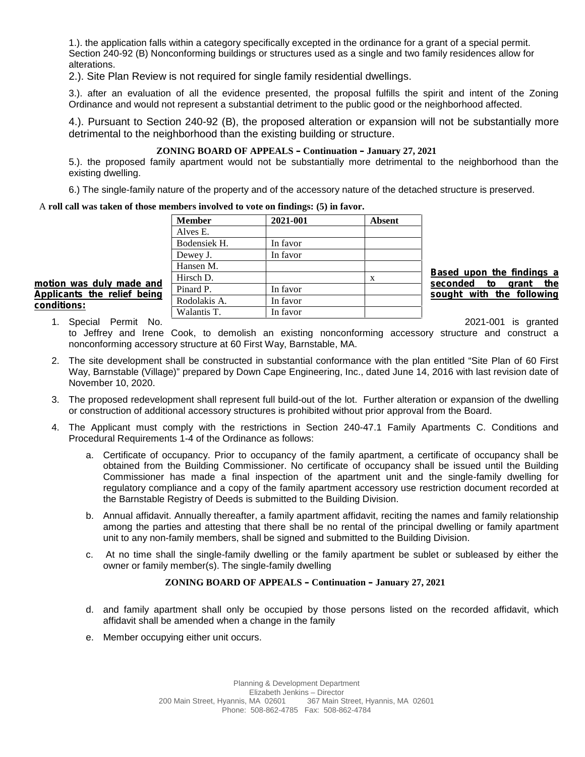1.). the application falls within a category specifically excepted in the ordinance for a grant of a special permit. Section 240-92 (B) Nonconforming buildings or structures used as a single and two family residences allow for alterations.

2.). Site Plan Review is not required for single family residential dwellings.

3.). after an evaluation of all the evidence presented, the proposal fulfills the spirit and intent of the Zoning Ordinance and would not represent a substantial detriment to the public good or the neighborhood affected.

4.). Pursuant to Section 240-92 (B), the proposed alteration or expansion will not be substantially more detrimental to the neighborhood than the existing building or structure.

#### **ZONING BOARD OF APPEALS – Continuation – January 27, 2021**

5.). the proposed family apartment would not be substantially more detrimental to the neighborhood than the existing dwelling.

6.) The single-family nature of the property and of the accessory nature of the detached structure is preserved.

#### A **roll call was taken of those members involved to vote on findings: (5) in favor.**

|                             | <b>Member</b> | 2021-001 | <b>Absent</b> |                                                          |
|-----------------------------|---------------|----------|---------------|----------------------------------------------------------|
|                             | Alves E.      |          |               |                                                          |
|                             | Bodensiek H.  | In favor |               |                                                          |
|                             | Dewey J.      | In favor |               |                                                          |
|                             | Hansen M.     |          |               |                                                          |
| motion was duly made and    | Hirsch D.     |          | X             | Based upon the findings a                                |
| Applicants the relief being | Pinard P.     | In favor |               | grant the<br>seconded<br>to<br>sought with the following |
| conditions:                 | Rodolakis A.  | In favor |               |                                                          |
|                             | Walantis T.   | In favor |               |                                                          |

1. Special Permit No.

to Jeffrey and Irene Cook, to demolish an existing nonconforming accessory structure and construct a nonconforming accessory structure at 60 First Way, Barnstable, MA.

- 2. The site development shall be constructed in substantial conformance with the plan entitled "Site Plan of 60 First Way, Barnstable (Village)" prepared by Down Cape Engineering, Inc., dated June 14, 2016 with last revision date of November 10, 2020.
- 3. The proposed redevelopment shall represent full build-out of the lot. Further alteration or expansion of the dwelling or construction of additional accessory structures is prohibited without prior approval from the Board.
- 4. The Applicant must comply with the restrictions in Section 240-47.1 Family Apartments C.Conditions and Procedural Requirements 1-4 of the Ordinance as follows:
	- a. Certificate of occupancy. Prior to occupancy of the family apartment, a certificate of occupancy shall be obtained from the Building Commissioner. No certificate of occupancy shall be issued until the Building Commissioner has made a final inspection of the apartment unit and the single-family dwelling for regulatory compliance and a copy of the family apartment accessory use restriction document recorded at the Barnstable Registry of Deeds is submitted to the Building Division.
	- b. Annual affidavit. Annually thereafter, a family apartment affidavit, reciting the names and family relationship among the parties and attesting that there shall be no rental of the principal dwelling or family apartment unit to any non-family members, shall be signed and submitted to the Building Division.
	- c. At no time shall the single-family dwelling or the family apartment be sublet or subleased by either the owner or family member(s). The single-family dwelling

#### **ZONING BOARD OF APPEALS – Continuation – January 27, 2021**

- d. and family apartment shall only be occupied by those persons listed on the recorded affidavit, which affidavit shall be amended when a change in the family
- e. Member occupying either unit occurs.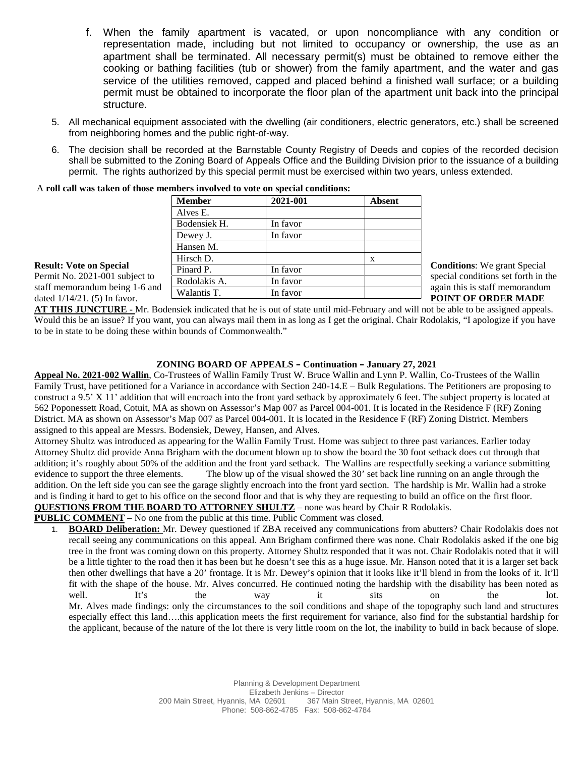- f. When the family apartment is vacated, or upon noncompliance with any condition or representation made, including but not limited to occupancy or ownership, the use as an apartment shall be terminated. All necessary permit(s) must be obtained to remove either the cooking or bathing facilities (tub or shower) from the family apartment, and the water and gas service of the utilities removed, capped and placed behind a finished wall surface; or a building permit must be obtained to incorporate the floor plan of the apartment unit back into the principal structure.
- 5. All mechanical equipment associated with the dwelling (air conditioners, electric generators, etc.) shall be screened from neighboring homes and the public right-of-way.
- 6. The decision shall be recorded at the Barnstable County Registry of Deeds and copies of the recorded decision shall be submitted to the Zoning Board of Appeals Office and the Building Division prior to the issuance of a building permit. The rights authorized by this special permit must be exercised within two years, unless extended.

| A roll call was taken of those members involved to vote on special conditions: |               |          |               |                                                                       |
|--------------------------------------------------------------------------------|---------------|----------|---------------|-----------------------------------------------------------------------|
|                                                                                | <b>Member</b> | 2021-001 | <b>Absent</b> |                                                                       |
|                                                                                | Alves E.      |          |               |                                                                       |
|                                                                                | Bodensiek H.  | In favor |               |                                                                       |
|                                                                                | Dewey J.      | In favor |               |                                                                       |
|                                                                                | Hansen M.     |          |               |                                                                       |
|                                                                                | Hirsch D.     |          | X             |                                                                       |
| <b>Result: Vote on Special</b>                                                 | Pinard P.     | In favor |               | <b>Conditions:</b> We grant Special                                   |
| Permit No. 2021-001 subject to                                                 | Rodolakis A.  | In favor |               | special conditions set forth in the<br>again this is staff memorandum |
| staff memorandum being 1-6 and<br>dated $1/14/21$ . (5) In favor.              | Walantis T.   | In favor |               | <b>POINT OF ORDER MADE</b>                                            |
|                                                                                |               |          |               |                                                                       |

A **roll call was taken of those members involved to vote on special conditions:**

**AT THIS JUNCTURE -** Mr. Bodensiek indicated that he is out of state until mid-February and will not be able to be assigned appeals. Would this be an issue? If you want, you can always mail them in as long as I get the original. Chair Rodolakis, "I apologize if you have to be in state to be doing these within bounds of Commonwealth."

# **ZONING BOARD OF APPEALS – Continuation – January 27, 2021**

**Appeal No. 2021-002 Wallin**, Co-Trustees of Wallin Family Trust W. Bruce Wallin and Lynn P. Wallin, Co-Trustees of the Wallin Family Trust, have petitioned for a Variance in accordance with Section 240-14.E – Bulk Regulations. The Petitioners are proposing to construct a 9.5' X 11' addition that will encroach into the front yard setback by approximately 6 feet. The subject property is located at 562 Poponessett Road, Cotuit, MA as shown on Assessor's Map 007 as Parcel 004-001. It is located in the Residence F (RF) Zoning District. MA as shown on Assessor's Map 007 as Parcel 004-001. It is located in the Residence F (RF) Zoning District. Members assigned to this appeal are Messrs. Bodensiek, Dewey, Hansen, and Alves.

Attorney Shultz was introduced as appearing for the Wallin Family Trust. Home was subject to three past variances. Earlier today Attorney Shultz did provide Anna Brigham with the document blown up to show the board the 30 foot setback does cut through that addition; it's roughly about 50% of the addition and the front yard setback. The Wallins are respectfully seeking a variance submitting evidence to support the three elements. The blow up of the visual showed the 30' set back line running on an angle through the addition. On the left side you can see the garage slightly encroach into the front yard section. The hardship is Mr. Wallin had a stroke and is finding it hard to get to his office on the second floor and that is why they are requesting to build an office on the first floor. **QUESTIONS FROM THE BOARD TO ATTORNEY SHULTZ** – none was heard by Chair R Rodolakis.

**PUBLIC COMMENT** – No one from the public at this time. Public Comment was closed.

1. **BOARD Deliberation:** Mr. Dewey questioned if ZBA received any communications from abutters? Chair Rodolakis does not recall seeing any communications on this appeal. Ann Brigham confirmed there was none. Chair Rodolakis asked if the one big tree in the front was coming down on this property. Attorney Shultz responded that it was not. Chair Rodolakis noted that it will be a little tighter to the road then it has been but he doesn't see this as a huge issue. Mr. Hanson noted that it is a larger set back then other dwellings that have a 20' frontage. It is Mr. Dewey's opinion that it looks like it'll blend in from the looks of it. It'll fit with the shape of the house. Mr. Alves concurred. He continued noting the hardship with the disability has been noted as well. It's the way it sits on the lot. Mr. Alves made findings: only the circumstances to the soil conditions and shape of the topography such land and structures especially effect this land….this application meets the first requirement for variance, also find for the substantial hardship for the applicant, because of the nature of the lot there is very little room on the lot, the inability to build in back because of slope.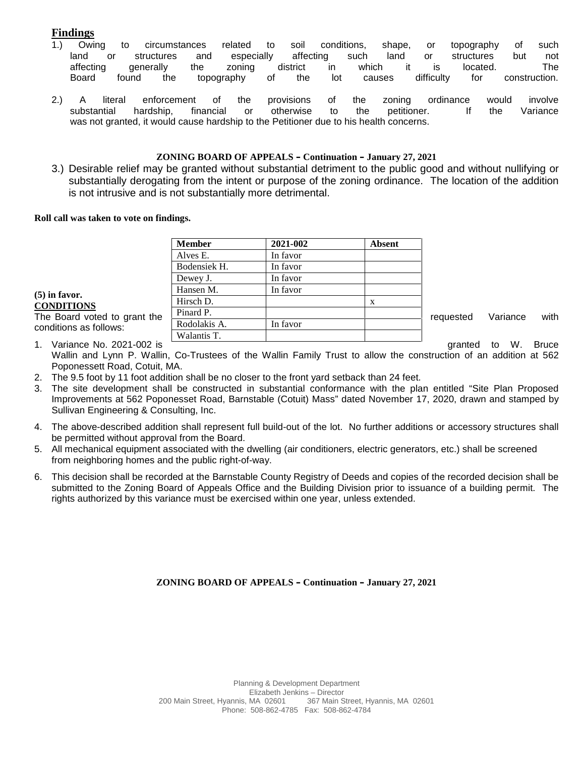# **Findings**

- 1.) Owing to circumstances related to soil conditions, shape, or topography of such land or structures and especially affecting such land or structures but not affecting generally the zoning district in which it is located. The Board found the topography of the lot causes difficulty for construction.
- 2.) A literal enforcement of the provisions of the zoning ordinance would involve substantial hardship, financial or otherwise to the petitioner. If the Variance was not granted, it would cause hardship to the Petitioner due to his health concerns.

#### **ZONING BOARD OF APPEALS – Continuation – January 27, 2021**

3.) Desirable relief may be granted without substantial detriment to the public good and without nullifying or substantially derogating from the intent or purpose of the zoning ordinance. The location of the addition is not intrusive and is not substantially more detrimental.

#### **Roll call was taken to vote on findings.**

|                              | <b>Member</b> | 2021-002 | <b>Absent</b> |           |          |      |
|------------------------------|---------------|----------|---------------|-----------|----------|------|
|                              | Alves E.      | In favor |               |           |          |      |
|                              | Bodensiek H.  | In favor |               |           |          |      |
|                              | Dewey J.      | In favor |               |           |          |      |
| $(5)$ in favor.              | Hansen M.     | In favor |               |           |          |      |
| <b>CONDITIONS</b>            | Hirsch D.     |          | X             |           |          |      |
| The Board voted to grant the | Pinard P.     |          |               | requested | Variance | with |
| conditions as follows:       | Rodolakis A.  | In favor |               |           |          |      |
|                              | Walantis T.   |          |               |           |          |      |

1. Variance No. 2021-002 is **Constructed to W. Bruce** and M. Bruce in the state of the State of W. Bruce Wallin and Lynn P. Wallin, Co-Trustees of the Wallin Family Trust to allow the construction of an addition at 562 Poponessett Road, Cotuit, MA.

- 2. The 9.5 foot by 11 foot addition shall be no closer to the front yard setback than 24 feet.
- 3. The site development shall be constructed in substantial conformance with the plan entitled "Site Plan Proposed Improvements at 562 Poponesset Road, Barnstable (Cotuit) Mass" dated November 17, 2020, drawn and stamped by Sullivan Engineering & Consulting, Inc.
- 4. The above-described addition shall represent full build-out of the lot. No further additions or accessory structures shall be permitted without approval from the Board.
- 5. All mechanical equipment associated with the dwelling (air conditioners, electric generators, etc.) shall be screened from neighboring homes and the public right-of-way.
- 6. This decision shall be recorded at the Barnstable County Registry of Deeds and copies of the recorded decision shall be submitted to the Zoning Board of Appeals Office and the Building Division prior to issuance of a building permit. The rights authorized by this variance must be exercised within one year, unless extended.

#### **ZONING BOARD OF APPEALS – Continuation – January 27, 2021**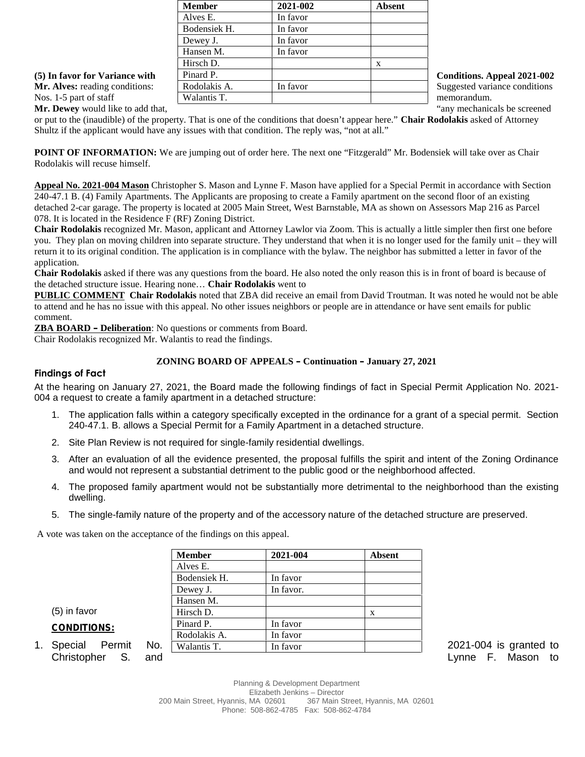|                                       | <b>Member</b> | 2021-002 | <b>Absent</b> |                                    |
|---------------------------------------|---------------|----------|---------------|------------------------------------|
|                                       | Alves E.      | In favor |               |                                    |
|                                       | Bodensiek H.  | In favor |               |                                    |
|                                       | Dewey J.      | In favor |               |                                    |
|                                       | Hansen M.     | In favor |               |                                    |
|                                       | Hirsch D.     |          |               |                                    |
| (5) In favor for Variance with        | Pinard P.     |          |               | <b>Conditions. Appeal 2021-002</b> |
| <b>Mr. Alves:</b> reading conditions: | Rodolakis A.  | In favor |               | Suggested variance conditions      |
| Nos. 1-5 part of staff                | Walantis T.   |          |               | memorandum.                        |

**Mr. Dewey** would like to add that,  $\qquad$   $\qquad$   $\qquad$   $\qquad$   $\qquad$   $\qquad$   $\qquad$   $\qquad$   $\qquad$   $\qquad$   $\qquad$   $\qquad$   $\qquad$   $\qquad$   $\qquad$   $\qquad$   $\qquad$   $\qquad$   $\qquad$   $\qquad$   $\qquad$   $\qquad$   $\qquad$   $\qquad$   $\qquad$   $\qquad$   $\qquad$   $\qquad$   $\qquad$   $\qquad$   $\qquad$ 

or put to the (inaudible) of the property. That is one of the conditions that doesn't appear here." **Chair Rodolakis** asked of Attorney Shultz if the applicant would have any issues with that condition. The reply was, "not at all."

**POINT OF INFORMATION:** We are jumping out of order here. The next one "Fitzgerald" Mr. Bodensiek will take over as Chair Rodolakis will recuse himself.

**Appeal No. 2021-004 Mason** Christopher S. Mason and Lynne F. Mason have applied for a Special Permit in accordance with Section 240-47.1 B. (4) Family Apartments. The Applicants are proposing to create a Family apartment on the second floor of an existing detached 2-car garage. The property is located at 2005 Main Street, West Barnstable, MA as shown on Assessors Map 216 as Parcel 078. It is located in the Residence F (RF) Zoning District.

**Chair Rodolakis** recognized Mr. Mason, applicant and Attorney Lawlor via Zoom. This is actually a little simpler then first one before you. They plan on moving children into separate structure. They understand that when it is no longer used for the family unit – they will return it to its original condition. The application is in compliance with the bylaw. The neighbor has submitted a letter in favor of the application.

**Chair Rodolakis** asked if there was any questions from the board. He also noted the only reason this is in front of board is because of the detached structure issue. Hearing none… **Chair Rodolakis** went to

**PUBLIC COMMENT Chair Rodolakis** noted that ZBA did receive an email from David Troutman. It was noted he would not be able to attend and he has no issue with this appeal. No other issues neighbors or people are in attendance or have sent emails for public comment.

**ZBA BOARD – Deliberation**: No questions or comments from Board.

Chair Rodolakis recognized Mr. Walantis to read the findings.

# **ZONING BOARD OF APPEALS – Continuation – January 27, 2021**

### **Findings of Fact**

At the hearing on January 27, 2021, the Board made the following findings of fact in Special Permit Application No. 2021- 004 a request to create a family apartment in a detached structure:

- 1. The application falls within a category specifically excepted in the ordinance for a grant of a special permit. Section 240-47.1. B. allows a Special Permit for a Family Apartment in a detached structure.
- 2. Site Plan Review is not required for single-family residential dwellings.
- 3. After an evaluation of all the evidence presented, the proposal fulfills the spirit and intent of the Zoning Ordinance and would not represent a substantial detriment to the public good or the neighborhood affected.
- 4. The proposed family apartment would not be substantially more detrimental to the neighborhood than the existing dwelling.
- 5. The single-family nature of the property and of the accessory nature of the detached structure are preserved.

A vote was taken on the acceptance of the findings on this appeal.

|                      |     | <b>Member</b> | 2021-004  | <b>Absent</b> |                        |
|----------------------|-----|---------------|-----------|---------------|------------------------|
|                      |     | Alves E.      |           |               |                        |
|                      |     | Bodensiek H.  | In favor  |               |                        |
|                      |     | Dewey J.      | In favor. |               |                        |
|                      |     | Hansen M.     |           |               |                        |
| $(5)$ in favor       |     | Hirsch D.     |           | X             |                        |
| <b>CONDITIONS:</b>   |     | Pinard P.     | In favor  |               |                        |
|                      |     | Rodolakis A.  | In favor  |               |                        |
| 1. Special<br>Permit | No. | Walantis T.   | In favor  |               | 2021-004 is granted to |

- **CONDITIONS:**
- Christopher S. and **Christopher S. and Christopher S. And Lynne F. Mason to**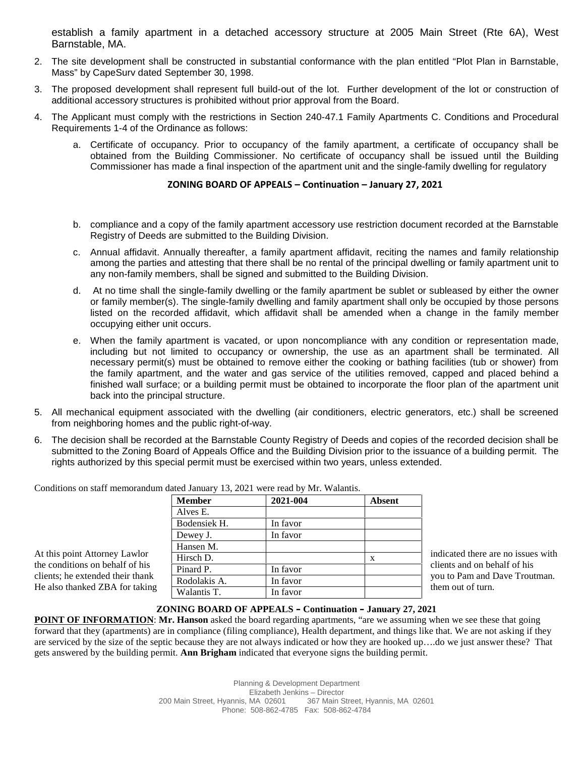establish a family apartment in a detached accessory structure at 2005 Main Street (Rte 6A), West Barnstable, MA.

- 2. The site development shall be constructed in substantial conformance with the plan entitled "Plot Plan in Barnstable, Mass" by CapeSurv dated September 30, 1998.
- 3. The proposed development shall represent full build-out of the lot. Further development of the lot or construction of additional accessory structures is prohibited without prior approval from the Board.
- 4. The Applicant must comply with the restrictions in Section 240-47.1 Family Apartments C. Conditions and Procedural Requirements 1-4 of the Ordinance as follows:
	- a. Certificate of occupancy. Prior to occupancy of the family apartment, a certificate of occupancy shall be obtained from the Building Commissioner. No certificate of occupancy shall be issued until the Building Commissioner has made a final inspection of the apartment unit and the single-family dwelling for regulatory

#### **ZONING BOARD OF APPEALS – Continuation – January 27, 2021**

- b. compliance and a copy of the family apartment accessory use restriction document recorded at the Barnstable Registry of Deeds are submitted to the Building Division.
- c. Annual affidavit. Annually thereafter, a family apartment affidavit, reciting the names and family relationship among the parties and attesting that there shall be no rental of the principal dwelling or family apartment unit to any non-family members, shall be signed and submitted to the Building Division.
- d. At no time shall the single-family dwelling or the family apartment be sublet or subleased by either the owner or family member(s). The single-family dwelling and family apartment shall only be occupied by those persons listed on the recorded affidavit, which affidavit shall be amended when a change in the family member occupying either unit occurs.
- e. When the family apartment is vacated, or upon noncompliance with any condition or representation made, including but not limited to occupancy or ownership, the use as an apartment shall be terminated. All necessary permit(s) must be obtained to remove either the cooking or bathing facilities (tub or shower) from the family apartment, and the water and gas service of the utilities removed, capped and placed behind a finished wall surface; or a building permit must be obtained to incorporate the floor plan of the apartment unit back into the principal structure.
- 5. All mechanical equipment associated with the dwelling (air conditioners, electric generators, etc.) shall be screened from neighboring homes and the public right-of-way.
- 6. The decision shall be recorded at the Barnstable County Registry of Deeds and copies of the recorded decision shall be submitted to the Zoning Board of Appeals Office and the Building Division prior to the issuance of a building permit. The rights authorized by this special permit must be exercised within two years, unless extended.

|                                  | <b>Member</b> | 2021-004 | <b>Absent</b> |                                    |
|----------------------------------|---------------|----------|---------------|------------------------------------|
|                                  | Alves E.      |          |               |                                    |
|                                  | Bodensiek H.  | In favor |               |                                    |
|                                  | Dewey J.      | In favor |               |                                    |
|                                  | Hansen M.     |          |               |                                    |
| At this point Attorney Lawlor    | Hirsch D.     |          |               | indicated there are no issues with |
| the conditions on behalf of his  | Pinard P.     | In favor |               | clients and on behalf of his       |
| clients; he extended their thank | Rodolakis A.  | In favor |               | you to Pam and Dave Troutman.      |
| He also thanked ZBA for taking   | Walantis T.   | In favor |               | them out of turn.                  |

#### Conditions on staff memorandum dated January 13, 2021 were read by Mr. Walantis.

#### **ZONING BOARD OF APPEALS – Continuation – January 27, 2021**

**POINT OF INFORMATION**: **Mr. Hanson** asked the board regarding apartments, "are we assuming when we see these that going forward that they (apartments) are in compliance (filing compliance), Health department, and things like that. We are not asking if they are serviced by the size of the septic because they are not always indicated or how they are hooked up….do we just answer these? That gets answered by the building permit. **Ann Brigham** indicated that everyone signs the building permit.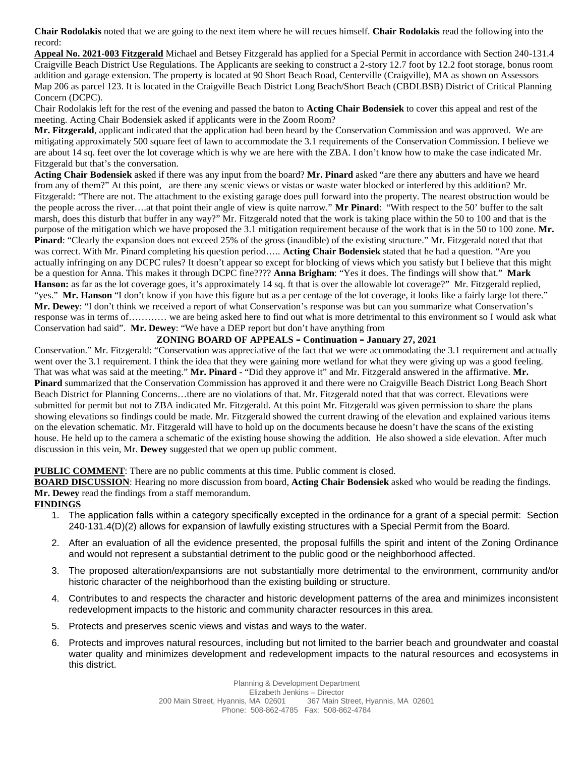**Chair Rodolakis** noted that we are going to the next item where he will recues himself. **Chair Rodolakis** read the following into the record:

**Appeal No. 2021-003 Fitzgerald** Michael and Betsey Fitzgerald has applied for a Special Permit in accordance with Section 240-131.4 Craigville Beach District Use Regulations. The Applicants are seeking to construct a 2-story 12.7 foot by 12.2 foot storage, bonus room addition and garage extension. The property is located at 90 Short Beach Road, Centerville (Craigville), MA as shown on Assessors Map 206 as parcel 123. It is located in the Craigville Beach District Long Beach/Short Beach (CBDLBSB) District of Critical Planning Concern (DCPC).

Chair Rodolakis left for the rest of the evening and passed the baton to **Acting Chair Bodensiek** to cover this appeal and rest of the meeting. Acting Chair Bodensiek asked if applicants were in the Zoom Room?

**Mr. Fitzgerald**, applicant indicated that the application had been heard by the Conservation Commission and was approved. We are mitigating approximately 500 square feet of lawn to accommodate the 3.1 requirements of the Conservation Commission. I believe we are about 14 sq. feet over the lot coverage which is why we are here with the ZBA. I don't know how to make the case indicated Mr. Fitzgerald but that's the conversation.

**Acting Chair Bodensiek** asked if there was any input from the board? **Mr. Pinard** asked "are there any abutters and have we heard from any of them?" At this point, are there any scenic views or vistas or waste water blocked or interfered by this addition? Mr. Fitzgerald: "There are not. The attachment to the existing garage does pull forward into the property. The nearest obstruction would be the people across the river….at that point their angle of view is quite narrow." **Mr Pinard**: "With respect to the 50' buffer to the salt marsh, does this disturb that buffer in any way?" Mr. Fitzgerald noted that the work is taking place within the 50 to 100 and that is the purpose of the mitigation which we have proposed the 3.1 mitigation requirement because of the work that is in the 50 to 100 zone. **Mr. Pinard**: "Clearly the expansion does not exceed 25% of the gross (inaudible) of the existing structure." Mr. Fitzgerald noted that that was correct. With Mr. Pinard completing his question period….. **Acting Chair Bodensiek** stated that he had a question. "Are you actually infringing on any DCPC rules? It doesn't appear so except for blocking of views which you satisfy but I believe that this might be a question for Anna. This makes it through DCPC fine???? **Anna Brigham**: "Yes it does. The findings will show that." **Mark Hanson:** as far as the lot coverage goes, it's approximately 14 sq. ft that is over the allowable lot coverage?" Mr. Fitzgerald replied, "yes." Mr. Hanson "I don't know if you have this figure but as a per centage of the lot coverage, it looks like a fairly large lot there." **Mr. Dewey**: "I don't think we received a report of what Conservation's response was but can you summarize what Conservation's response was in terms of………… we are being asked here to find out what is more detrimental to this environment so I would ask what Conservation had said". **Mr. Dewey**: "We have a DEP report but don't have anything from

### **ZONING BOARD OF APPEALS – Continuation – January 27, 2021**

Conservation." Mr. Fitzgerald: "Conservation was appreciative of the fact that we were accommodating the 3.1 requirement and actually went over the 3.1 requirement. I think the idea that they were gaining more wetland for what they were giving up was a good feeling. That was what was said at the meeting." **Mr. Pinard** - "Did they approve it" and Mr. Fitzgerald answered in the affirmative. **Mr. Pinard** summarized that the Conservation Commission has approved it and there were no Craigville Beach District Long Beach Short Beach District for Planning Concerns…there are no violations of that. Mr. Fitzgerald noted that that was correct. Elevations were submitted for permit but not to ZBA indicated Mr. Fitzgerald. At this point Mr. Fitzgerald was given permission to share the plans showing elevations so findings could be made. Mr. Fitzgerald showed the current drawing of the elevation and explained various items on the elevation schematic. Mr. Fitzgerald will have to hold up on the documents because he doesn't have the scans of the existing house. He held up to the camera a schematic of the existing house showing the addition. He also showed a side elevation. After much discussion in this vein, Mr. **Dewey** suggested that we open up public comment.

#### **PUBLIC COMMENT**: There are no public comments at this time. Public comment is closed.

**BOARD DISCUSSION**: Hearing no more discussion from board, **Acting Chair Bodensiek** asked who would be reading the findings. **Mr. Dewey** read the findings from a staff memorandum.

**FINDINGS**

- 1. The application falls within a category specifically excepted in the ordinance for a grant of a special permit: Section 240-131.4(D)(2) allows for expansion of lawfully existing structures with a Special Permit from the Board.
- 2. After an evaluation of all the evidence presented, the proposal fulfills the spirit and intent of the Zoning Ordinance and would not represent a substantial detriment to the public good or the neighborhood affected.
- 3. The proposed alteration/expansions are not substantially more detrimental to the environment, community and/or historic character of the neighborhood than the existing building or structure.
- 4. Contributes to and respects the character and historic development patterns of the area and minimizes inconsistent redevelopment impacts to the historic and community character resources in this area.
- 5. Protects and preserves scenic views and vistas and ways to the water.
- 6. Protects and improves natural resources, including but not limited to the barrier beach and groundwater and coastal water quality and minimizes development and redevelopment impacts to the natural resources and ecosystems in this district.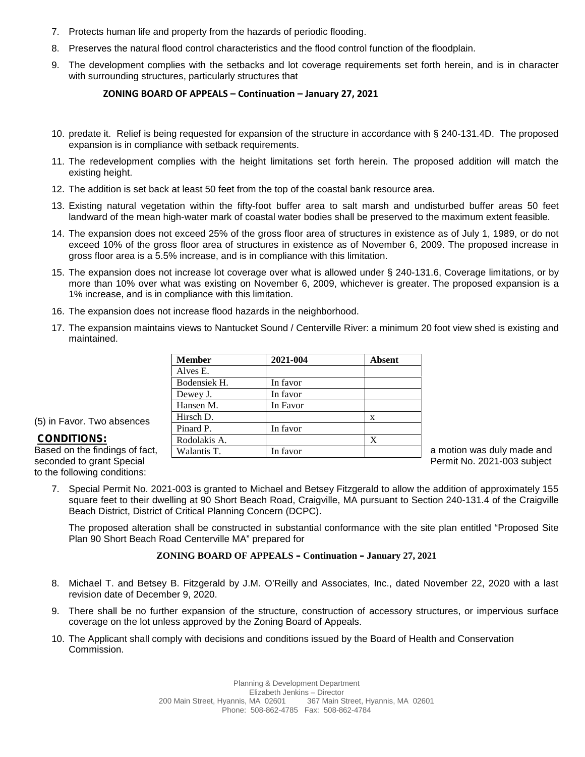- 7. Protects human life and property from the hazards of periodic flooding.
- 8. Preserves the natural flood control characteristics and the flood control function of the floodplain.
- 9. The development complies with the setbacks and lot coverage requirements set forth herein, and is in character with surrounding structures, particularly structures that

#### **ZONING BOARD OF APPEALS – Continuation – January 27, 2021**

- 10. predate it. Relief is being requested for expansion of the structure in accordance with § 240-131.4D. The proposed expansion is in compliance with setback requirements.
- 11. The redevelopment complies with the height limitations set forth herein. The proposed addition will match the existing height.
- 12. The addition is set back at least 50 feet from the top of the coastal bank resource area.
- 13. Existing natural vegetation within the fifty-foot buffer area to salt marsh and undisturbed buffer areas 50 feet landward of the mean high-water mark of coastal water bodies shall be preserved to the maximum extent feasible.
- 14. The expansion does not exceed 25% of the gross floor area of structures in existence as of July 1, 1989, or do not exceed 10% of the gross floor area of structures in existence as of November 6, 2009. The proposed increase in gross floor area is a 5.5% increase, and is in compliance with this limitation.
- 15. The expansion does not increase lot coverage over what is allowed under § 240-131.6, Coverage limitations, or by more than 10% over what was existing on November 6, 2009, whichever is greater. The proposed expansion is a 1% increase, and is in compliance with this limitation.
- 16. The expansion does not increase flood hazards in the neighborhood.
- 17. The expansion maintains views to Nantucket Sound / Centerville River: a minimum 20 foot view shed is existing and maintained.

|                                | <b>Member</b> | 2021-004 | <b>Absent</b> |                            |
|--------------------------------|---------------|----------|---------------|----------------------------|
|                                | Alves E.      |          |               |                            |
|                                | Bodensiek H.  | In favor |               |                            |
|                                | Dewey J.      | In favor |               |                            |
|                                | Hansen M.     | In Favor |               |                            |
| (5) in Favor. Two absences     | Hirsch D.     |          | X             |                            |
|                                | Pinard P.     | In favor |               |                            |
| <b>CONDITIONS:</b>             | Rodolakis A.  |          | X             |                            |
| Based on the findings of fact, | Walantis T.   | In favor |               | a motion was duly made and |

# (5) in Favor. Two absences

#### **CONDITIONS:**

seconded to grant Special **Permit No. 2021-003** subject to the following conditions:

7. Special Permit No. 2021-003 is granted to Michael and Betsey Fitzgerald to allow the addition of approximately 155 square feet to their dwelling at 90 Short Beach Road, Craigville, MA pursuant to Section 240-131.4 of the Craigville Beach District, District of Critical Planning Concern (DCPC).

The proposed alteration shall be constructed in substantial conformance with the site plan entitled "Proposed Site Plan 90 Short Beach Road Centerville MA" prepared for

#### **ZONING BOARD OF APPEALS – Continuation – January 27, 2021**

- 8. Michael T. and Betsey B. Fitzgerald by J.M. O'Reilly and Associates, Inc., dated November 22, 2020 with a last revision date of December 9, 2020.
- 9. There shall be no further expansion of the structure, construction of accessory structures, or impervious surface coverage on the lot unless approved by the Zoning Board of Appeals.
- 10. The Applicant shall comply with decisions and conditions issued by the Board of Health and Conservation Commission.